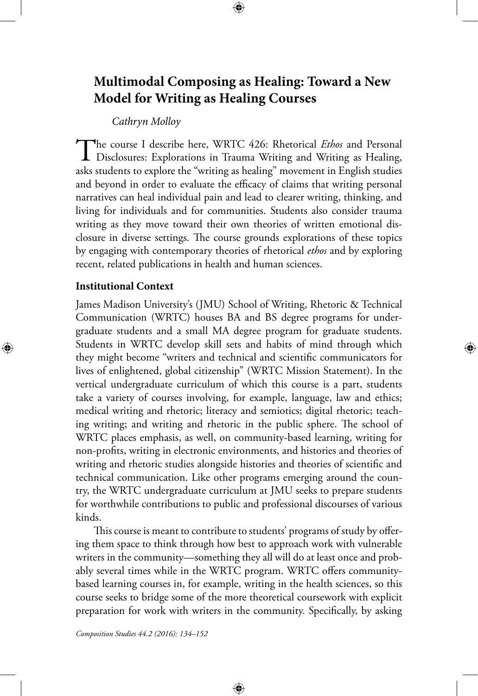# **Multimodal Composing as Healing: Toward a New Model for Writing as Healing Courses**

⊕

*Cathryn Molloy*

The course I describe here, WRTC 426: Rhetorical *Ethos* and Personal Disclosures: Explorations in Trauma Writing and Writing as Healing, asks students to explore the "writing as healing" movement in English studies and beyond in order to evaluate the efficacy of claims that writing personal narratives can heal individual pain and lead to clearer writing, thinking, and living for individuals and for communities. Students also consider trauma writing as they move toward their own theories of written emotional disclosure in diverse settings. The course grounds explorations of these topics by engaging with contemporary theories of rhetorical *ethos* and by exploring recent, related publications in health and human sciences.

### **Institutional Context**

⊕

James Madison University's (JMU) School of Writing, Rhetoric & Technical Communication (WRTC) houses BA and BS degree programs for undergraduate students and a small MA degree program for graduate students. Students in WRTC develop skill sets and habits of mind through which they might become "writers and technical and scientific communicators for lives of enlightened, global citizenship" (WRTC Mission Statement). In the vertical undergraduate curriculum of which this course is a part, students take a variety of courses involving, for example, language, law and ethics; medical writing and rhetoric; literacy and semiotics; digital rhetoric; teaching writing; and writing and rhetoric in the public sphere. The school of WRTC places emphasis, as well, on community-based learning, writing for non-profits, writing in electronic environments, and histories and theories of writing and rhetoric studies alongside histories and theories of scientific and technical communication. Like other programs emerging around the country, the WRTC undergraduate curriculum at JMU seeks to prepare students for worthwhile contributions to public and professional discourses of various kinds.

This course is meant to contribute to students' programs of study by offering them space to think through how best to approach work with vulnerable writers in the community—something they all will do at least once and probably several times while in the WRTC program. WRTC offers communitybased learning courses in, for example, writing in the health sciences, so this course seeks to bridge some of the more theoretical coursework with explicit preparation for work with writers in the community. Specifically, by asking

⊕

*Composition Studies 44.2 (2016): 134–152*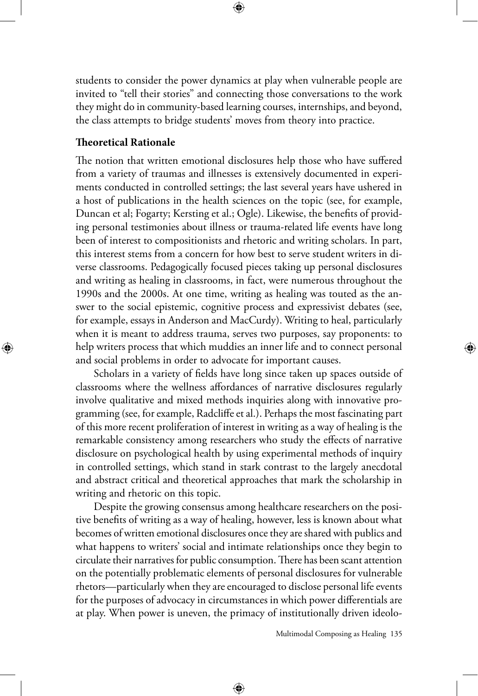students to consider the power dynamics at play when vulnerable people are invited to "tell their stories" and connecting those conversations to the work they might do in community-based learning courses, internships, and beyond, the class attempts to bridge students' moves from theory into practice.

### **Theoretical Rationale**

 $\bigoplus$ 

The notion that written emotional disclosures help those who have suffered from a variety of traumas and illnesses is extensively documented in experiments conducted in controlled settings; the last several years have ushered in a host of publications in the health sciences on the topic (see, for example, Duncan et al; Fogarty; Kersting et al.; Ogle). Likewise, the benefits of providing personal testimonies about illness or trauma-related life events have long been of interest to compositionists and rhetoric and writing scholars. In part, this interest stems from a concern for how best to serve student writers in diverse classrooms. Pedagogically focused pieces taking up personal disclosures and writing as healing in classrooms, in fact, were numerous throughout the 1990s and the 2000s. At one time, writing as healing was touted as the answer to the social epistemic, cognitive process and expressivist debates (see, for example, essays in Anderson and MacCurdy). Writing to heal, particularly when it is meant to address trauma, serves two purposes, say proponents: to help writers process that which muddies an inner life and to connect personal and social problems in order to advocate for important causes.

Scholars in a variety of fields have long since taken up spaces outside of classrooms where the wellness affordances of narrative disclosures regularly involve qualitative and mixed methods inquiries along with innovative programming (see, for example, Radcliffe et al.). Perhaps the most fascinating part of this more recent proliferation of interest in writing as a way of healing is the remarkable consistency among researchers who study the effects of narrative disclosure on psychological health by using experimental methods of inquiry in controlled settings, which stand in stark contrast to the largely anecdotal and abstract critical and theoretical approaches that mark the scholarship in writing and rhetoric on this topic.

Despite the growing consensus among healthcare researchers on the positive benefits of writing as a way of healing, however, less is known about what becomes of written emotional disclosures once they are shared with publics and what happens to writers' social and intimate relationships once they begin to circulate their narratives for public consumption. There has been scant attention on the potentially problematic elements of personal disclosures for vulnerable rhetors—particularly when they are encouraged to disclose personal life events for the purposes of advocacy in circumstances in which power differentials are at play. When power is uneven, the primacy of institutionally driven ideolo-

⊕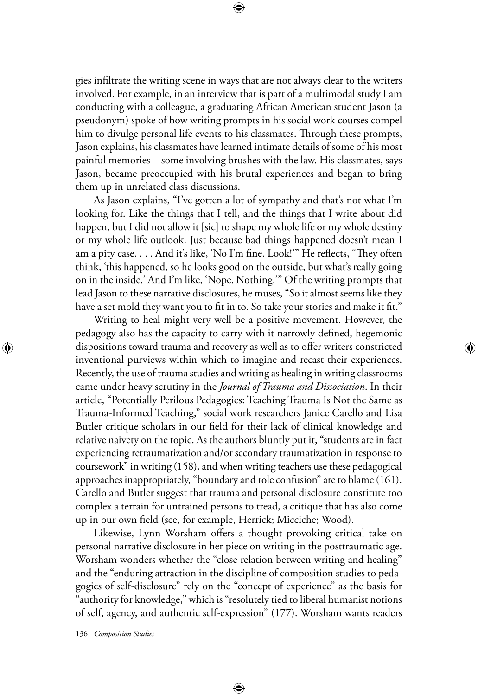gies infiltrate the writing scene in ways that are not always clear to the writers involved. For example, in an interview that is part of a multimodal study I am conducting with a colleague, a graduating African American student Jason (a pseudonym) spoke of how writing prompts in his social work courses compel him to divulge personal life events to his classmates. Through these prompts, Jason explains, his classmates have learned intimate details of some of his most painful memories—some involving brushes with the law. His classmates, says Jason, became preoccupied with his brutal experiences and began to bring them up in unrelated class discussions.

⊕

As Jason explains, "I've gotten a lot of sympathy and that's not what I'm looking for. Like the things that I tell, and the things that I write about did happen, but I did not allow it [sic] to shape my whole life or my whole destiny or my whole life outlook. Just because bad things happened doesn't mean I am a pity case. . . . And it's like, 'No I'm fine. Look!'" He reflects, "They often think, 'this happened, so he looks good on the outside, but what's really going on in the inside.' And I'm like, 'Nope. Nothing.'" Of the writing prompts that lead Jason to these narrative disclosures, he muses, "So it almost seems like they have a set mold they want you to fit in to. So take your stories and make it fit."

Writing to heal might very well be a positive movement. However, the pedagogy also has the capacity to carry with it narrowly defined, hegemonic dispositions toward trauma and recovery as well as to offer writers constricted inventional purviews within which to imagine and recast their experiences. Recently, the use of trauma studies and writing as healing in writing classrooms came under heavy scrutiny in the *Journal of Trauma and Dissociation*. In their article, "Potentially Perilous Pedagogies: Teaching Trauma Is Not the Same as Trauma-Informed Teaching," social work researchers Janice Carello and Lisa Butler critique scholars in our field for their lack of clinical knowledge and relative naivety on the topic. As the authors bluntly put it, "students are in fact experiencing retraumatization and/or secondary traumatization in response to coursework" in writing (158), and when writing teachers use these pedagogical approaches inappropriately, "boundary and role confusion" are to blame (161). Carello and Butler suggest that trauma and personal disclosure constitute too complex a terrain for untrained persons to tread, a critique that has also come up in our own field (see, for example, Herrick; Micciche; Wood).

Likewise, Lynn Worsham offers a thought provoking critical take on personal narrative disclosure in her piece on writing in the posttraumatic age. Worsham wonders whether the "close relation between writing and healing" and the "enduring attraction in the discipline of composition studies to pedagogies of self-disclosure" rely on the "concept of experience" as the basis for "authority for knowledge," which is "resolutely tied to liberal humanist notions of self, agency, and authentic self-expression" (177). Worsham wants readers

⊕

136 *Composition Studies*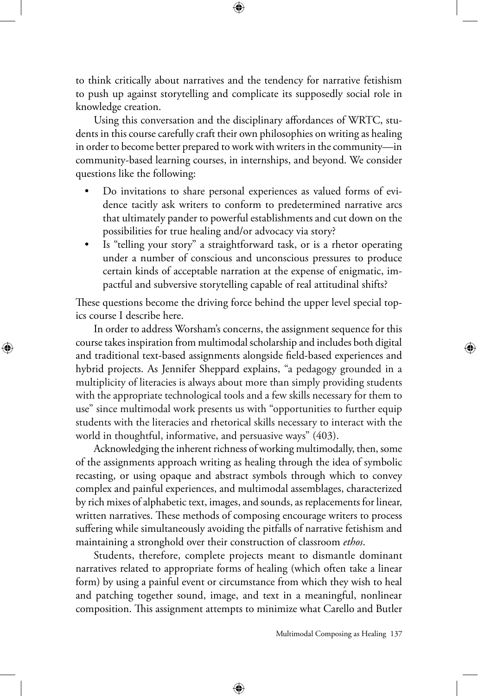to think critically about narratives and the tendency for narrative fetishism to push up against storytelling and complicate its supposedly social role in knowledge creation.

Using this conversation and the disciplinary affordances of WRTC, students in this course carefully craft their own philosophies on writing as healing in order to become better prepared to work with writers in the community—in community-based learning courses, in internships, and beyond. We consider questions like the following:

- Do invitations to share personal experiences as valued forms of evidence tacitly ask writers to conform to predetermined narrative arcs that ultimately pander to powerful establishments and cut down on the possibilities for true healing and/or advocacy via story?
- Is "telling your story" a straightforward task, or is a rhetor operating under a number of conscious and unconscious pressures to produce certain kinds of acceptable narration at the expense of enigmatic, impactful and subversive storytelling capable of real attitudinal shifts?

These questions become the driving force behind the upper level special topics course I describe here.

 $\bigoplus$ 

In order to address Worsham's concerns, the assignment sequence for this course takes inspiration from multimodal scholarship and includes both digital and traditional text-based assignments alongside field-based experiences and hybrid projects. As Jennifer Sheppard explains, "a pedagogy grounded in a multiplicity of literacies is always about more than simply providing students with the appropriate technological tools and a few skills necessary for them to use" since multimodal work presents us with "opportunities to further equip students with the literacies and rhetorical skills necessary to interact with the world in thoughtful, informative, and persuasive ways" (403).

Acknowledging the inherent richness of working multimodally, then, some of the assignments approach writing as healing through the idea of symbolic recasting, or using opaque and abstract symbols through which to convey complex and painful experiences, and multimodal assemblages, characterized by rich mixes of alphabetic text, images, and sounds, as replacements for linear, written narratives. These methods of composing encourage writers to process suffering while simultaneously avoiding the pitfalls of narrative fetishism and maintaining a stronghold over their construction of classroom *ethos*.

Students, therefore, complete projects meant to dismantle dominant narratives related to appropriate forms of healing (which often take a linear form) by using a painful event or circumstance from which they wish to heal and patching together sound, image, and text in a meaningful, nonlinear composition. This assignment attempts to minimize what Carello and Butler

⊕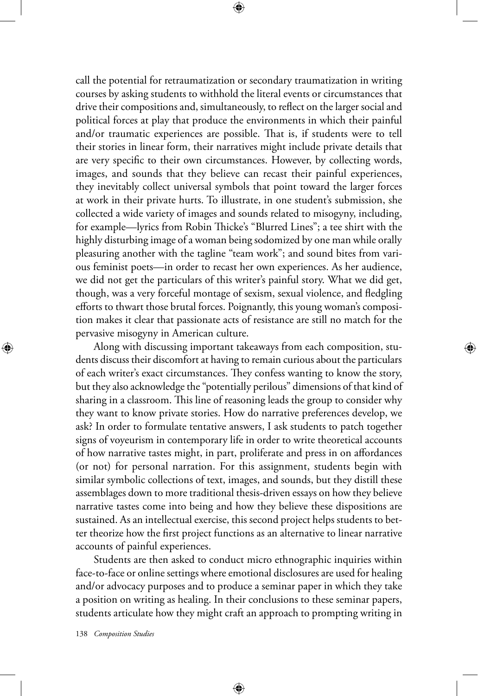call the potential for retraumatization or secondary traumatization in writing courses by asking students to withhold the literal events or circumstances that drive their compositions and, simultaneously, to reflect on the larger social and political forces at play that produce the environments in which their painful and/or traumatic experiences are possible. That is, if students were to tell their stories in linear form, their narratives might include private details that are very specific to their own circumstances. However, by collecting words, images, and sounds that they believe can recast their painful experiences, they inevitably collect universal symbols that point toward the larger forces at work in their private hurts. To illustrate, in one student's submission, she collected a wide variety of images and sounds related to misogyny, including, for example—lyrics from Robin Thicke's "Blurred Lines"; a tee shirt with the highly disturbing image of a woman being sodomized by one man while orally pleasuring another with the tagline "team work"; and sound bites from various feminist poets—in order to recast her own experiences. As her audience, we did not get the particulars of this writer's painful story. What we did get, though, was a very forceful montage of sexism, sexual violence, and fledgling efforts to thwart those brutal forces. Poignantly, this young woman's composition makes it clear that passionate acts of resistance are still no match for the pervasive misogyny in American culture.

Along with discussing important takeaways from each composition, students discuss their discomfort at having to remain curious about the particulars of each writer's exact circumstances. They confess wanting to know the story, but they also acknowledge the "potentially perilous" dimensions of that kind of sharing in a classroom. This line of reasoning leads the group to consider why they want to know private stories. How do narrative preferences develop, we ask? In order to formulate tentative answers, I ask students to patch together signs of voyeurism in contemporary life in order to write theoretical accounts of how narrative tastes might, in part, proliferate and press in on affordances (or not) for personal narration. For this assignment, students begin with similar symbolic collections of text, images, and sounds, but they distill these assemblages down to more traditional thesis-driven essays on how they believe narrative tastes come into being and how they believe these dispositions are sustained. As an intellectual exercise, this second project helps students to better theorize how the first project functions as an alternative to linear narrative accounts of painful experiences.

Students are then asked to conduct micro ethnographic inquiries within face-to-face or online settings where emotional disclosures are used for healing and/or advocacy purposes and to produce a seminar paper in which they take a position on writing as healing. In their conclusions to these seminar papers, students articulate how they might craft an approach to prompting writing in

⊕

138 *Composition Studies*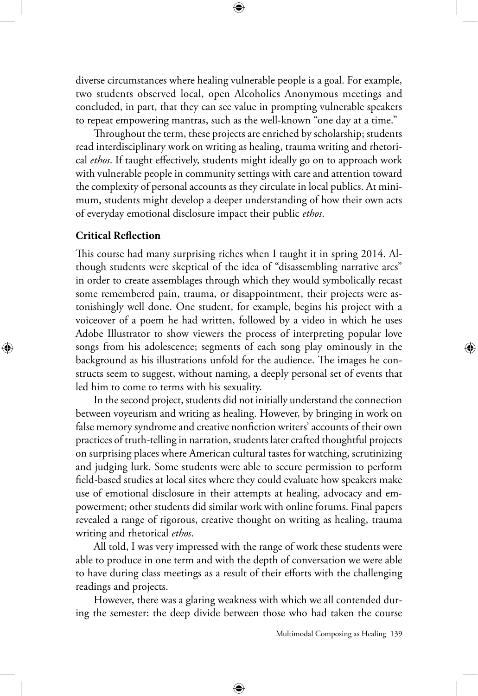diverse circumstances where healing vulnerable people is a goal. For example, two students observed local, open Alcoholics Anonymous meetings and concluded, in part, that they can see value in prompting vulnerable speakers to repeat empowering mantras, such as the well-known "one day at a time."

Throughout the term, these projects are enriched by scholarship; students read interdisciplinary work on writing as healing, trauma writing and rhetorical *ethos*. If taught effectively, students might ideally go on to approach work with vulnerable people in community settings with care and attention toward the complexity of personal accounts as they circulate in local publics. At minimum, students might develop a deeper understanding of how their own acts of everyday emotional disclosure impact their public *ethos*.

## **Critical Reflection**

⊕

This course had many surprising riches when I taught it in spring 2014. Although students were skeptical of the idea of "disassembling narrative arcs" in order to create assemblages through which they would symbolically recast some remembered pain, trauma, or disappointment, their projects were astonishingly well done. One student, for example, begins his project with a voiceover of a poem he had written, followed by a video in which he uses Adobe Illustrator to show viewers the process of interpreting popular love songs from his adolescence; segments of each song play ominously in the background as his illustrations unfold for the audience. The images he constructs seem to suggest, without naming, a deeply personal set of events that led him to come to terms with his sexuality.

In the second project, students did not initially understand the connection between voyeurism and writing as healing. However, by bringing in work on false memory syndrome and creative nonfiction writers' accounts of their own practices of truth-telling in narration, students later crafted thoughtful projects on surprising places where American cultural tastes for watching, scrutinizing and judging lurk. Some students were able to secure permission to perform field-based studies at local sites where they could evaluate how speakers make use of emotional disclosure in their attempts at healing, advocacy and empowerment; other students did similar work with online forums. Final papers revealed a range of rigorous, creative thought on writing as healing, trauma writing and rhetorical *ethos*.

All told, I was very impressed with the range of work these students were able to produce in one term and with the depth of conversation we were able to have during class meetings as a result of their efforts with the challenging readings and projects.

However, there was a glaring weakness with which we all contended during the semester: the deep divide between those who had taken the course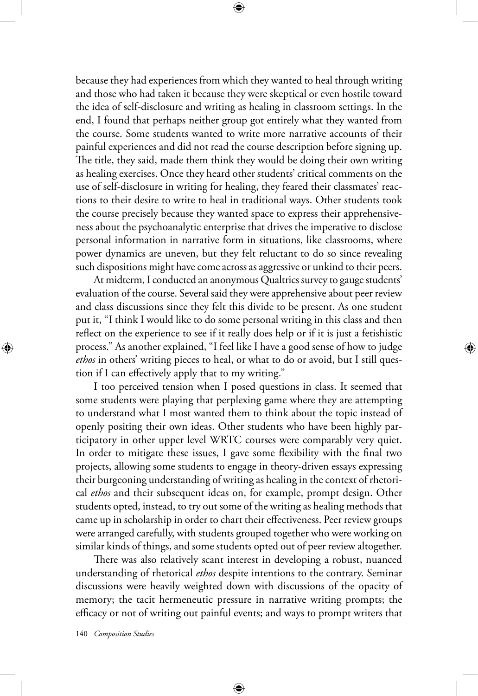because they had experiences from which they wanted to heal through writing and those who had taken it because they were skeptical or even hostile toward the idea of self-disclosure and writing as healing in classroom settings. In the end, I found that perhaps neither group got entirely what they wanted from the course. Some students wanted to write more narrative accounts of their painful experiences and did not read the course description before signing up. The title, they said, made them think they would be doing their own writing as healing exercises. Once they heard other students' critical comments on the use of self-disclosure in writing for healing, they feared their classmates' reactions to their desire to write to heal in traditional ways. Other students took the course precisely because they wanted space to express their apprehensiveness about the psychoanalytic enterprise that drives the imperative to disclose personal information in narrative form in situations, like classrooms, where power dynamics are uneven, but they felt reluctant to do so since revealing such dispositions might have come across as aggressive or unkind to their peers.

At midterm, I conducted an anonymous Qualtrics survey to gauge students' evaluation of the course. Several said they were apprehensive about peer review and class discussions since they felt this divide to be present. As one student put it, "I think I would like to do some personal writing in this class and then reflect on the experience to see if it really does help or if it is just a fetishistic process." As another explained, "I feel like I have a good sense of how to judge *ethos* in others' writing pieces to heal, or what to do or avoid, but I still question if I can effectively apply that to my writing."

I too perceived tension when I posed questions in class. It seemed that some students were playing that perplexing game where they are attempting to understand what I most wanted them to think about the topic instead of openly positing their own ideas. Other students who have been highly participatory in other upper level WRTC courses were comparably very quiet. In order to mitigate these issues, I gave some flexibility with the final two projects, allowing some students to engage in theory-driven essays expressing their burgeoning understanding of writing as healing in the context of rhetorical *ethos* and their subsequent ideas on, for example, prompt design. Other students opted, instead, to try out some of the writing as healing methods that came up in scholarship in order to chart their effectiveness. Peer review groups were arranged carefully, with students grouped together who were working on similar kinds of things, and some students opted out of peer review altogether.

There was also relatively scant interest in developing a robust, nuanced understanding of rhetorical *ethos* despite intentions to the contrary. Seminar discussions were heavily weighted down with discussions of the opacity of memory; the tacit hermeneutic pressure in narrative writing prompts; the efficacy or not of writing out painful events; and ways to prompt writers that

⊕

140 *Composition Studies*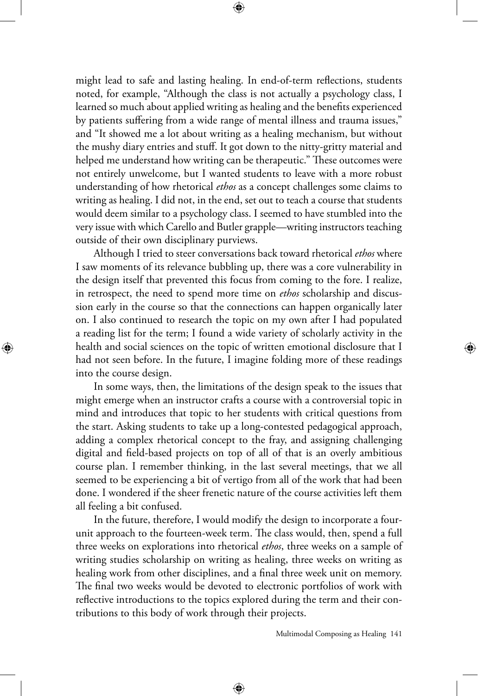might lead to safe and lasting healing. In end-of-term reflections, students noted, for example, "Although the class is not actually a psychology class, I learned so much about applied writing as healing and the benefits experienced by patients suffering from a wide range of mental illness and trauma issues," and "It showed me a lot about writing as a healing mechanism, but without the mushy diary entries and stuff. It got down to the nitty-gritty material and helped me understand how writing can be therapeutic." These outcomes were not entirely unwelcome, but I wanted students to leave with a more robust understanding of how rhetorical *ethos* as a concept challenges some claims to writing as healing. I did not, in the end, set out to teach a course that students would deem similar to a psychology class. I seemed to have stumbled into the very issue with which Carello and Butler grapple—writing instructors teaching outside of their own disciplinary purviews.

Although I tried to steer conversations back toward rhetorical *ethos* where I saw moments of its relevance bubbling up, there was a core vulnerability in the design itself that prevented this focus from coming to the fore. I realize, in retrospect, the need to spend more time on *ethos* scholarship and discussion early in the course so that the connections can happen organically later on. I also continued to research the topic on my own after I had populated a reading list for the term; I found a wide variety of scholarly activity in the health and social sciences on the topic of written emotional disclosure that I had not seen before. In the future, I imagine folding more of these readings into the course design.

⊕

In some ways, then, the limitations of the design speak to the issues that might emerge when an instructor crafts a course with a controversial topic in mind and introduces that topic to her students with critical questions from the start. Asking students to take up a long-contested pedagogical approach, adding a complex rhetorical concept to the fray, and assigning challenging digital and field-based projects on top of all of that is an overly ambitious course plan. I remember thinking, in the last several meetings, that we all seemed to be experiencing a bit of vertigo from all of the work that had been done. I wondered if the sheer frenetic nature of the course activities left them all feeling a bit confused.

In the future, therefore, I would modify the design to incorporate a fourunit approach to the fourteen-week term. The class would, then, spend a full three weeks on explorations into rhetorical *ethos*, three weeks on a sample of writing studies scholarship on writing as healing, three weeks on writing as healing work from other disciplines, and a final three week unit on memory. The final two weeks would be devoted to electronic portfolios of work with reflective introductions to the topics explored during the term and their contributions to this body of work through their projects.

⊕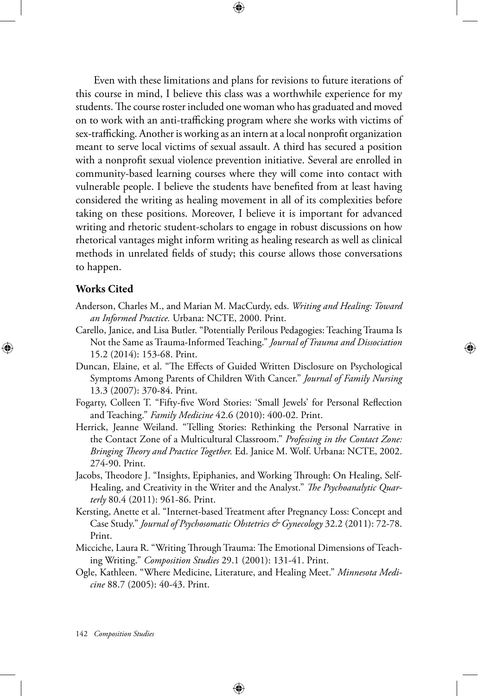Even with these limitations and plans for revisions to future iterations of this course in mind, I believe this class was a worthwhile experience for my students. The course roster included one woman who has graduated and moved on to work with an anti-trafficking program where she works with victims of sex-trafficking. Another is working as an intern at a local nonprofit organization meant to serve local victims of sexual assault. A third has secured a position with a nonprofit sexual violence prevention initiative. Several are enrolled in community-based learning courses where they will come into contact with vulnerable people. I believe the students have benefited from at least having considered the writing as healing movement in all of its complexities before taking on these positions. Moreover, I believe it is important for advanced writing and rhetoric student-scholars to engage in robust discussions on how rhetorical vantages might inform writing as healing research as well as clinical methods in unrelated fields of study; this course allows those conversations to happen.

⊕

#### **Works Cited**

⊕

- Anderson, Charles M., and Marian M. MacCurdy, eds. *Writing and Healing: Toward an Informed Practice.* Urbana: NCTE, 2000. Print.
- Carello, Janice, and Lisa Butler. "Potentially Perilous Pedagogies: Teaching Trauma Is Not the Same as Trauma-Informed Teaching." *Journal of Trauma and Dissociation*  15.2 (2014): 153-68. Print.
- Duncan, Elaine, et al. "The Effects of Guided Written Disclosure on Psychological Symptoms Among Parents of Children With Cancer." *Journal of Family Nursing* 13.3 (2007): 370-84. Print.
- Fogarty, Colleen T. "Fifty-five Word Stories: 'Small Jewels' for Personal Reflection and Teaching." *Family Medicine* 42.6 (2010): 400-02. Print.
- Herrick, Jeanne Weiland. "Telling Stories: Rethinking the Personal Narrative in the Contact Zone of a Multicultural Classroom." *Professing in the Contact Zone: Bringing Theory and Practice Together.* Ed. Janice M. Wolf. Urbana: NCTE, 2002. 274-90. Print.
- Jacobs, Theodore J. "Insights, Epiphanies, and Working Through: On Healing, Self-Healing, and Creativity in the Writer and the Analyst." *The Psychoanalytic Quarterly* 80.4 (2011): 961-86. Print.
- Kersting, Anette et al. "Internet-based Treatment after Pregnancy Loss: Concept and Case Study." *Journal of Psychosomatic Obstetrics & Gynecology* 32.2 (2011): 72-78. Print.
- Micciche, Laura R. "Writing Through Trauma: The Emotional Dimensions of Teaching Writing." *Composition Studies* 29.1 (2001): 131-41. Print.
- Ogle, Kathleen. "Where Medicine, Literature, and Healing Meet." *Minnesota Medicine* 88.7 (2005): 40-43. Print.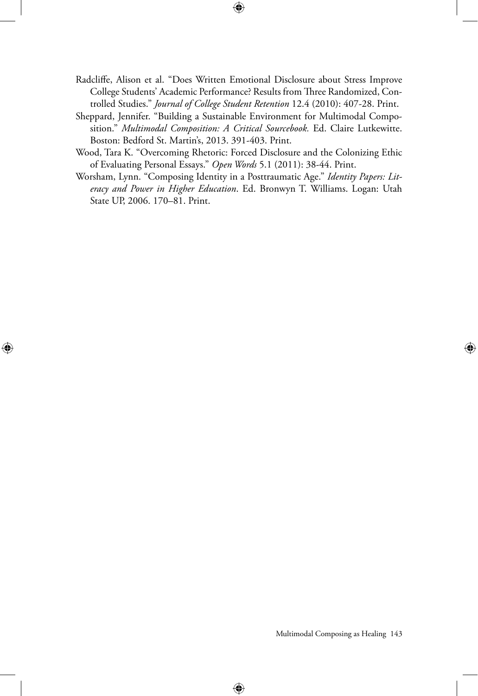Radcliffe, Alison et al. "Does Written Emotional Disclosure about Stress Improve College Students' Academic Performance? Results from Three Randomized, Controlled Studies." *Journal of College Student Retention* 12.4 (2010): 407-28. Print.

 $\bigoplus$ 

- Sheppard, Jennifer. "Building a Sustainable Environment for Multimodal Composition." *Multimodal Composition: A Critical Sourcebook.* Ed. Claire Lutkewitte. Boston: Bedford St. Martin's, 2013. 391-403. Print.
- Wood, Tara K. "Overcoming Rhetoric: Forced Disclosure and the Colonizing Ethic of Evaluating Personal Essays." *Open Words* 5.1 (2011): 38-44. Print.
- Worsham, Lynn. "Composing Identity in a Posttraumatic Age." *Identity Papers: Literacy and Power in Higher Education*. Ed. Bronwyn T. Williams. Logan: Utah State UP, 2006. 170–81. Print.

⊕

Multimodal Composing as Healing 143

⊕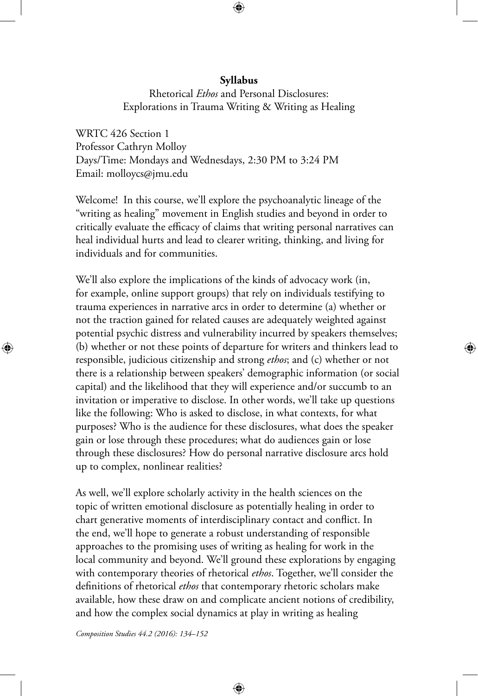## **Syllabus**

⊕

Rhetorical *Ethos* and Personal Disclosures: Explorations in Trauma Writing & Writing as Healing

WRTC 426 Section 1 Professor Cathryn Molloy Days/Time: Mondays and Wednesdays, 2:30 PM to 3:24 PM Email: molloycs@jmu.edu

Welcome! In this course, we'll explore the psychoanalytic lineage of the "writing as healing" movement in English studies and beyond in order to critically evaluate the efficacy of claims that writing personal narratives can heal individual hurts and lead to clearer writing, thinking, and living for individuals and for communities.

We'll also explore the implications of the kinds of advocacy work (in, for example, online support groups) that rely on individuals testifying to trauma experiences in narrative arcs in order to determine (a) whether or not the traction gained for related causes are adequately weighted against potential psychic distress and vulnerability incurred by speakers themselves; (b) whether or not these points of departure for writers and thinkers lead to responsible, judicious citizenship and strong *ethos*; and (c) whether or not there is a relationship between speakers' demographic information (or social capital) and the likelihood that they will experience and/or succumb to an invitation or imperative to disclose. In other words, we'll take up questions like the following: Who is asked to disclose, in what contexts, for what purposes? Who is the audience for these disclosures, what does the speaker gain or lose through these procedures; what do audiences gain or lose through these disclosures? How do personal narrative disclosure arcs hold up to complex, nonlinear realities?

As well, we'll explore scholarly activity in the health sciences on the topic of written emotional disclosure as potentially healing in order to chart generative moments of interdisciplinary contact and conflict. In the end, we'll hope to generate a robust understanding of responsible approaches to the promising uses of writing as healing for work in the local community and beyond. We'll ground these explorations by engaging with contemporary theories of rhetorical *ethos*. Together, we'll consider the definitions of rhetorical *ethos* that contemporary rhetoric scholars make available, how these draw on and complicate ancient notions of credibility, and how the complex social dynamics at play in writing as healing

⊕

*Composition Studies 44.2 (2016): 134–152*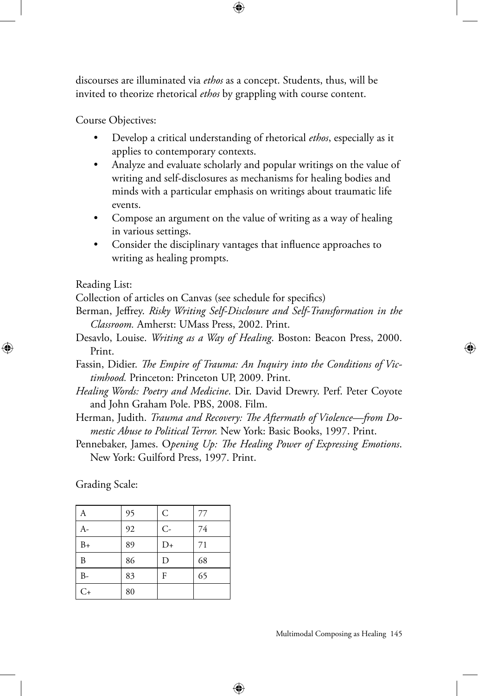discourses are illuminated via *ethos* as a concept. Students, thus, will be invited to theorize rhetorical *ethos* by grappling with course content.

⊕

Course Objectives:

- Develop a critical understanding of rhetorical *ethos*, especially as it applies to contemporary contexts.
- Analyze and evaluate scholarly and popular writings on the value of writing and self-disclosures as mechanisms for healing bodies and minds with a particular emphasis on writings about traumatic life events.
- Compose an argument on the value of writing as a way of healing in various settings.
- Consider the disciplinary vantages that influence approaches to writing as healing prompts.

#### Reading List:

⊕

Collection of articles on Canvas (see schedule for specifics)

- Berman, Jeffrey. *Risky Writing Self-Disclosure and Self-Transformation in the Classroom.* Amherst: UMass Press, 2002. Print.
- Desavlo, Louise. *Writing as a Way of Healing*. Boston: Beacon Press, 2000. Print.
- Fassin, Didier. *The Empire of Trauma: An Inquiry into the Conditions of Victimhood.* Princeton: Princeton UP, 2009. Print.
- *Healing Words: Poetry and Medicine*. Dir. David Drewry. Perf. Peter Coyote and John Graham Pole. PBS, 2008. Film.
- Herman, Judith. *Trauma and Recovery: The Aftermath of Violence—from Domestic Abuse to Political Terror.* New York: Basic Books, 1997. Print.
- Pennebaker, James. O*pening Up: The Healing Power of Expressing Emotions*. New York: Guilford Press, 1997. Print.

⊕

Grading Scale:

| А              | 95 | $\mathsf C$ | 77 |
|----------------|----|-------------|----|
| A-             | 92 | $C -$       | 74 |
| $B+$           | 89 | $D+$        | 71 |
| $\overline{B}$ | 86 | D           | 68 |
| $B-$           | 83 | F           | 65 |
| $C+$           | 80 |             |    |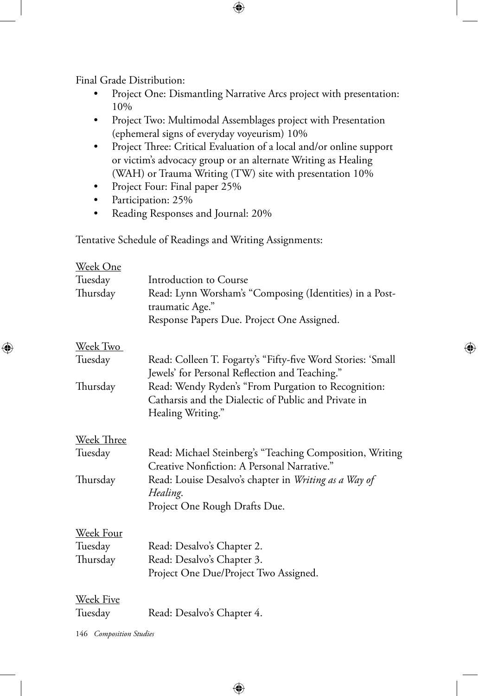Final Grade Distribution:

- Project One: Dismantling Narrative Arcs project with presentation: 10%
- Project Two: Multimodal Assemblages project with Presentation (ephemeral signs of everyday voyeurism) 10%

 $\bigoplus$ 

- Project Three: Critical Evaluation of a local and/or online support or victim's advocacy group or an alternate Writing as Healing (WAH) or Trauma Writing (TW) site with presentation 10%
- Project Four: Final paper 25%
- Participation: 25%

⊕

• Reading Responses and Journal: 20%

Tentative Schedule of Readings and Writing Assignments:

| Introduction to Course                                                                                        |
|---------------------------------------------------------------------------------------------------------------|
| Read: Lynn Worsham's "Composing (Identities) in a Post-<br>traumatic Age."                                    |
| Response Papers Due. Project One Assigned.                                                                    |
|                                                                                                               |
| Read: Colleen T. Fogarty's "Fifty-five Word Stories: 'Small<br>Jewels' for Personal Reflection and Teaching." |
| Read: Wendy Ryden's "From Purgation to Recognition:                                                           |
| Catharsis and the Dialectic of Public and Private in<br>Healing Writing."                                     |
|                                                                                                               |
| Read: Michael Steinberg's "Teaching Composition, Writing<br>Creative Nonfiction: A Personal Narrative."       |
| Read: Louise Desalvo's chapter in Writing as a Way of<br>Healing.                                             |
| Project One Rough Drafts Due.                                                                                 |
|                                                                                                               |
| Read: Desalvo's Chapter 2.                                                                                    |
| Read: Desalvo's Chapter 3.                                                                                    |
| Project One Due/Project Two Assigned.                                                                         |
|                                                                                                               |
| Read: Desalvo's Chapter 4.                                                                                    |
|                                                                                                               |

⊕

⊕

146 *Composition Studies*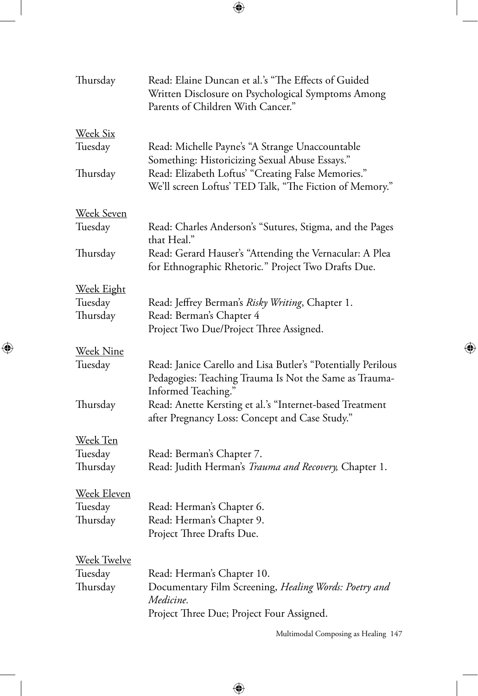$\bigoplus$ 

 $\overline{\phantom{a}}$ 

 $\bigoplus$ 

 $\overline{\phantom{a}}$ 

| Thursday           | Read: Elaine Duncan et al.'s "The Effects of Guided<br>Written Disclosure on Psychological Symptoms Among<br>Parents of Children With Cancer."                  |
|--------------------|-----------------------------------------------------------------------------------------------------------------------------------------------------------------|
| <u>Week Six</u>    |                                                                                                                                                                 |
| Tuesday            | Read: Michelle Payne's "A Strange Unaccountable                                                                                                                 |
| Thursday           | Something: Historicizing Sexual Abuse Essays."<br>Read: Elizabeth Loftus' "Creating False Memories."<br>We'll screen Loftus' TED Talk, "The Fiction of Memory." |
| <u>Week Seven</u>  |                                                                                                                                                                 |
| Tuesday            | Read: Charles Anderson's "Sutures, Stigma, and the Pages<br>that Heal."                                                                                         |
| Thursday           | Read: Gerard Hauser's "Attending the Vernacular: A Plea<br>for Ethnographic Rhetoric." Project Two Drafts Due.                                                  |
| <u>Week Eight</u>  |                                                                                                                                                                 |
| Tuesday            | Read: Jeffrey Berman's Risky Writing, Chapter 1.                                                                                                                |
| Thursday           | Read: Berman's Chapter 4                                                                                                                                        |
|                    | Project Two Due/Project Three Assigned.                                                                                                                         |
| <u>Week Nine</u>   |                                                                                                                                                                 |
| Tuesday            | Read: Janice Carello and Lisa Butler's "Potentially Perilous<br>Pedagogies: Teaching Trauma Is Not the Same as Trauma-                                          |
| Thursday           | Informed Teaching."<br>Read: Anette Kersting et al.'s "Internet-based Treatment                                                                                 |
|                    | after Pregnancy Loss: Concept and Case Study."                                                                                                                  |
| <u>Week Ten</u>    |                                                                                                                                                                 |
| Tuesday            | Read: Berman's Chapter 7.                                                                                                                                       |
| Thursday           | Read: Judith Herman's Trauma and Recovery, Chapter 1.                                                                                                           |
| Week Eleven        |                                                                                                                                                                 |
| Tuesday            | Read: Herman's Chapter 6.                                                                                                                                       |
| Thursday           | Read: Herman's Chapter 9.                                                                                                                                       |
|                    | Project Three Drafts Due.                                                                                                                                       |
| <u>Week Twelve</u> |                                                                                                                                                                 |
| Tuesday            | Read: Herman's Chapter 10.                                                                                                                                      |
| Thursday           | Documentary Film Screening, Healing Words: Poetry and                                                                                                           |
|                    | Medicine.                                                                                                                                                       |
|                    | Project Three Due; Project Four Assigned.                                                                                                                       |
|                    |                                                                                                                                                                 |

 $\bigoplus$ 

Multimodal Composing as Healing 147

 $\bigoplus$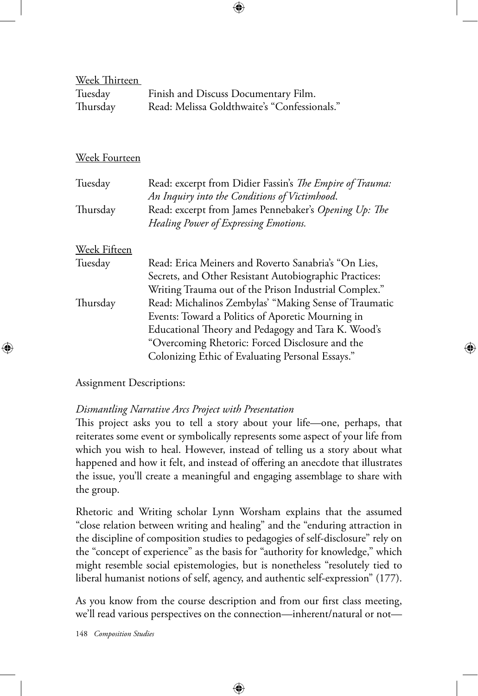Week Thirteen Tuesday Finish and Discuss Documentary Film. Thursday Read: Melissa Goldthwaite's "Confessionals."

⊕

## Week Fourteen

| Tuesday      | Read: excerpt from Didier Fassin's The Empire of Trauma: |
|--------------|----------------------------------------------------------|
|              | An Inquiry into the Conditions of Victimhood.            |
| Thursday     | Read: excerpt from James Pennebaker's Opening Up: The    |
|              | Healing Power of Expressing Emotions.                    |
| Week Fifteen |                                                          |
| Tuesday      | Read: Erica Meiners and Roverto Sanabria's "On Lies,     |
|              | Secrets, and Other Resistant Autobiographic Practices:   |
|              | Writing Trauma out of the Prison Industrial Complex."    |
| Thursday     | Read: Michalinos Zembylas' "Making Sense of Traumatic    |
|              | Events: Toward a Politics of Aporetic Mourning in        |
|              | Educational Theory and Pedagogy and Tara K. Wood's       |
|              | "Overcoming Rhetoric: Forced Disclosure and the          |
|              | Colonizing Ethic of Evaluating Personal Essays."         |

#### Assignment Descriptions:

⊕

### *Dismantling Narrative Arcs Project with Presentation*

This project asks you to tell a story about your life—one, perhaps, that reiterates some event or symbolically represents some aspect of your life from which you wish to heal. However, instead of telling us a story about what happened and how it felt, and instead of offering an anecdote that illustrates the issue, you'll create a meaningful and engaging assemblage to share with the group.

Rhetoric and Writing scholar Lynn Worsham explains that the assumed "close relation between writing and healing" and the "enduring attraction in the discipline of composition studies to pedagogies of self-disclosure" rely on the "concept of experience" as the basis for "authority for knowledge," which might resemble social epistemologies, but is nonetheless "resolutely tied to liberal humanist notions of self, agency, and authentic self-expression" (177).

As you know from the course description and from our first class meeting, we'll read various perspectives on the connection—inherent/natural or not—

⊕

148 *Composition Studies*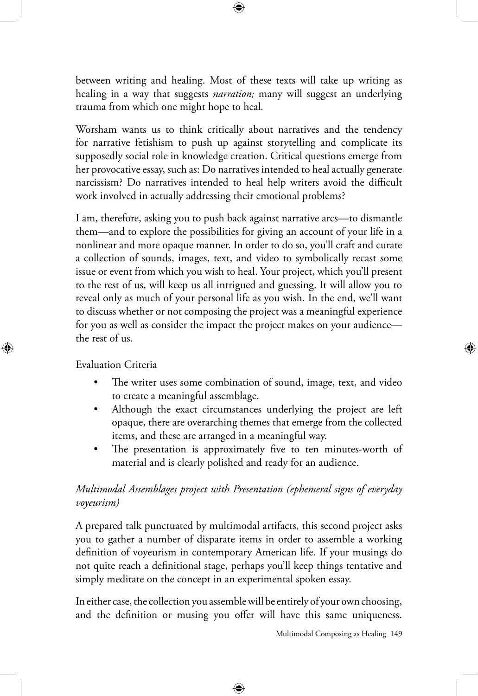between writing and healing. Most of these texts will take up writing as healing in a way that suggests *narration;* many will suggest an underlying trauma from which one might hope to heal*.*

Worsham wants us to think critically about narratives and the tendency for narrative fetishism to push up against storytelling and complicate its supposedly social role in knowledge creation. Critical questions emerge from her provocative essay, such as: Do narratives intended to heal actually generate narcissism? Do narratives intended to heal help writers avoid the difficult work involved in actually addressing their emotional problems?

I am, therefore, asking you to push back against narrative arcs—to dismantle them—and to explore the possibilities for giving an account of your life in a nonlinear and more opaque manner. In order to do so, you'll craft and curate a collection of sounds, images, text, and video to symbolically recast some issue or event from which you wish to heal. Your project, which you'll present to the rest of us, will keep us all intrigued and guessing. It will allow you to reveal only as much of your personal life as you wish. In the end, we'll want to discuss whether or not composing the project was a meaningful experience for you as well as consider the impact the project makes on your audience the rest of us.

Evaluation Criteria

⊕

- The writer uses some combination of sound, image, text, and video to create a meaningful assemblage.
- Although the exact circumstances underlying the project are left opaque, there are overarching themes that emerge from the collected items, and these are arranged in a meaningful way.
- The presentation is approximately five to ten minutes-worth of material and is clearly polished and ready for an audience.

# *Multimodal Assemblages project with Presentation (ephemeral signs of everyday voyeurism)*

A prepared talk punctuated by multimodal artifacts, this second project asks you to gather a number of disparate items in order to assemble a working definition of voyeurism in contemporary American life. If your musings do not quite reach a definitional stage, perhaps you'll keep things tentative and simply meditate on the concept in an experimental spoken essay.

In either case, the collection you assemble will be entirely of your own choosing, and the definition or musing you offer will have this same uniqueness.

⊕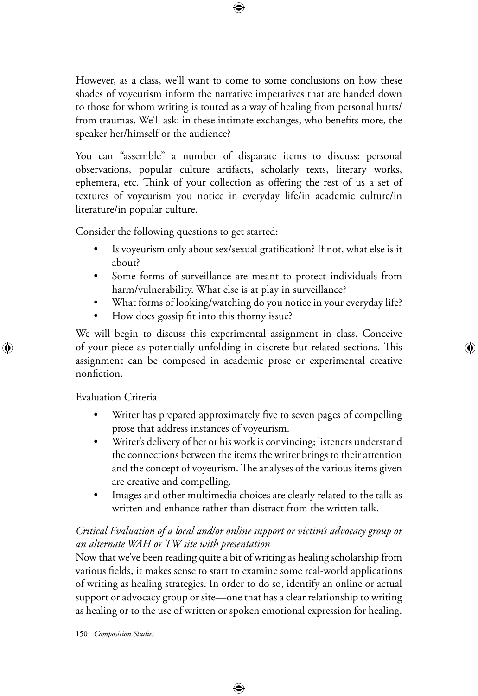However, as a class, we'll want to come to some conclusions on how these shades of voyeurism inform the narrative imperatives that are handed down to those for whom writing is touted as a way of healing from personal hurts/ from traumas. We'll ask: in these intimate exchanges, who benefits more, the speaker her/himself or the audience?

⊕

You can "assemble" a number of disparate items to discuss: personal observations, popular culture artifacts, scholarly texts, literary works, ephemera, etc. Think of your collection as offering the rest of us a set of textures of voyeurism you notice in everyday life/in academic culture/in literature/in popular culture.

Consider the following questions to get started:

- Is voyeurism only about sex/sexual gratification? If not, what else is it about?
- Some forms of surveillance are meant to protect individuals from harm/vulnerability. What else is at play in surveillance?
- What forms of looking/watching do you notice in your everyday life?
- How does gossip fit into this thorny issue?

We will begin to discuss this experimental assignment in class. Conceive of your piece as potentially unfolding in discrete but related sections. This assignment can be composed in academic prose or experimental creative nonfiction.

Evaluation Criteria

⊕

- Writer has prepared approximately five to seven pages of compelling prose that address instances of voyeurism.
- Writer's delivery of her or his work is convincing; listeners understand the connections between the items the writer brings to their attention and the concept of voyeurism. The analyses of the various items given are creative and compelling.
- Images and other multimedia choices are clearly related to the talk as written and enhance rather than distract from the written talk.

# *Critical Evaluation of a local and/or online support or victim's advocacy group or an alternate WAH or TW site with presentation*

Now that we've been reading quite a bit of writing as healing scholarship from various fields, it makes sense to start to examine some real-world applications of writing as healing strategies. In order to do so, identify an online or actual support or advocacy group or site—one that has a clear relationship to writing as healing or to the use of written or spoken emotional expression for healing.

⊕

150 *Composition Studies*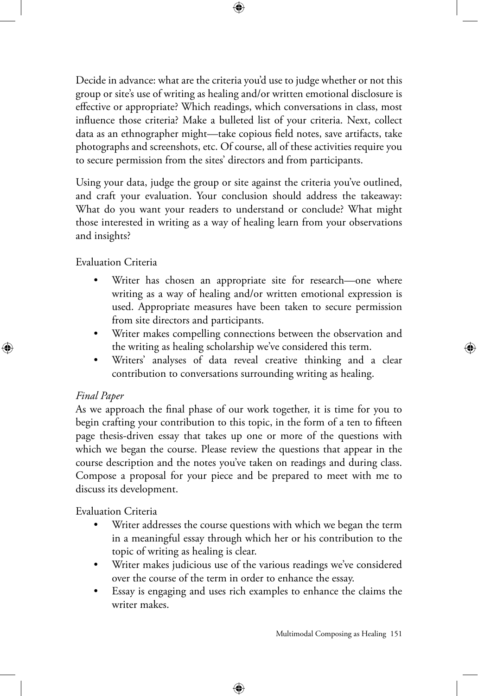Decide in advance: what are the criteria you'd use to judge whether or not this group or site's use of writing as healing and/or written emotional disclosure is effective or appropriate? Which readings, which conversations in class, most influence those criteria? Make a bulleted list of your criteria. Next, collect data as an ethnographer might—take copious field notes, save artifacts, take photographs and screenshots, etc. Of course, all of these activities require you to secure permission from the sites' directors and from participants.

⊕

Using your data, judge the group or site against the criteria you've outlined, and craft your evaluation. Your conclusion should address the takeaway: What do you want your readers to understand or conclude? What might those interested in writing as a way of healing learn from your observations and insights?

Evaluation Criteria

- Writer has chosen an appropriate site for research—one where writing as a way of healing and/or written emotional expression is used. Appropriate measures have been taken to secure permission from site directors and participants.
- Writer makes compelling connections between the observation and the writing as healing scholarship we've considered this term.
- Writers' analyses of data reveal creative thinking and a clear contribution to conversations surrounding writing as healing.

#### *Final Paper*

⊕

As we approach the final phase of our work together, it is time for you to begin crafting your contribution to this topic, in the form of a ten to fifteen page thesis-driven essay that takes up one or more of the questions with which we began the course. Please review the questions that appear in the course description and the notes you've taken on readings and during class. Compose a proposal for your piece and be prepared to meet with me to discuss its development.

Evaluation Criteria

- Writer addresses the course questions with which we began the term in a meaningful essay through which her or his contribution to the topic of writing as healing is clear.
- Writer makes judicious use of the various readings we've considered over the course of the term in order to enhance the essay.
- Essay is engaging and uses rich examples to enhance the claims the writer makes.